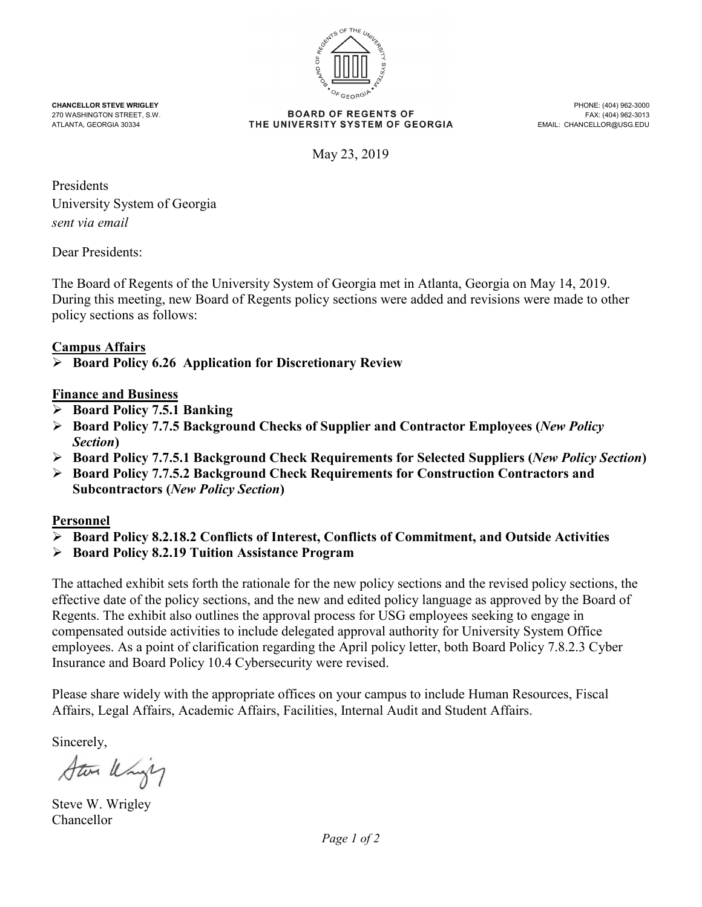

**CHANCELLOR STEVE WRIGLEY** PHONE: (404) 962-3000

270 WASHINGTON STREET, S.W. THE UNIVERSITY SYSTEM OF REGENTS OF THE UNIVERSITY SYSTEM OF GEORGIA THE UNIVERSITY STREET, AND THE UNIVERSITY SYSTEM OF GEORGIA THE UNIVERSITY SYSTEM OF GEORGIA

May 23, 2019

Presidents University System of Georgia *sent via email*

Dear Presidents:

The Board of Regents of the University System of Georgia met in Atlanta, Georgia on May 14, 2019. During this meeting, new Board of Regents policy sections were added and revisions were made to other policy sections as follows:

# **Campus Affairs**

# **Board Policy 6.26 Application for Discretionary Review**

#### **Finance and Business**

- **Board Policy 7.5.1 Banking**
- **Board Policy 7.7.5 Background Checks of Supplier and Contractor Employees (***New Policy Section***)**
- **Board Policy 7.7.5.1 Background Check Requirements for Selected Suppliers (***New Policy Section***)**
- **Board Policy 7.7.5.2 Background Check Requirements for Construction Contractors and Subcontractors (***New Policy Section***)**

# **Personnel**

- **Board Policy 8.2.18.2 Conflicts of Interest, Conflicts of Commitment, and Outside Activities**
- **Board Policy 8.2.19 Tuition Assistance Program**

The attached exhibit sets forth the rationale for the new policy sections and the revised policy sections, the effective date of the policy sections, and the new and edited policy language as approved by the Board of Regents. The exhibit also outlines the approval process for USG employees seeking to engage in compensated outside activities to include delegated approval authority for University System Office employees. As a point of clarification regarding the April policy letter, both Board Policy 7.8.2.3 Cyber Insurance and Board Policy 10.4 Cybersecurity were revised.

Please share widely with the appropriate offices on your campus to include Human Resources, Fiscal Affairs, Legal Affairs, Academic Affairs, Facilities, Internal Audit and Student Affairs.

Sincerely,

Star Whigh

Steve W. Wrigley Chancellor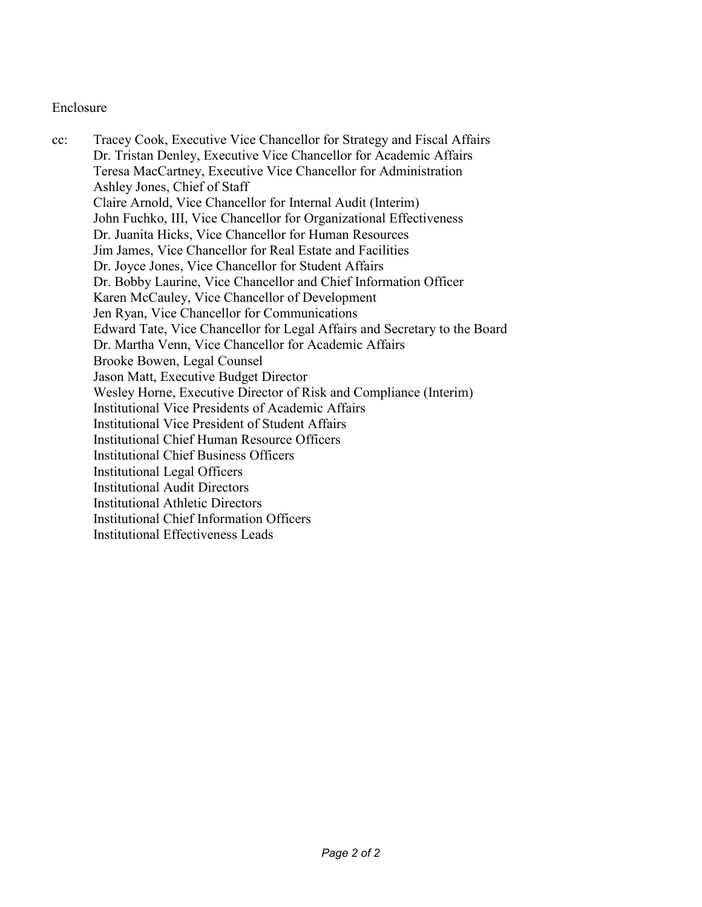#### Enclosure

cc: Tracey Cook, Executive Vice Chancellor for Strategy and Fiscal Affairs Dr. Tristan Denley, Executive Vice Chancellor for Academic Affairs Teresa MacCartney, Executive Vice Chancellor for Administration Ashley Jones, Chief of Staff Claire Arnold, Vice Chancellor for Internal Audit (Interim) John Fuchko, III, Vice Chancellor for Organizational Effectiveness Dr. Juanita Hicks, Vice Chancellor for Human Resources Jim James, Vice Chancellor for Real Estate and Facilities Dr. Joyce Jones, Vice Chancellor for Student Affairs Dr. Bobby Laurine, Vice Chancellor and Chief Information Officer Karen McCauley, Vice Chancellor of Development Jen Ryan, Vice Chancellor for Communications Edward Tate, Vice Chancellor for Legal Affairs and Secretary to the Board Dr. Martha Venn, Vice Chancellor for Academic Affairs Brooke Bowen, Legal Counsel Jason Matt, Executive Budget Director Wesley Horne, Executive Director of Risk and Compliance (Interim) Institutional Vice Presidents of Academic Affairs Institutional Vice President of Student Affairs Institutional Chief Human Resource Officers Institutional Chief Business Officers Institutional Legal Officers Institutional Audit Directors Institutional Athletic Directors Institutional Chief Information Officers Institutional Effectiveness Leads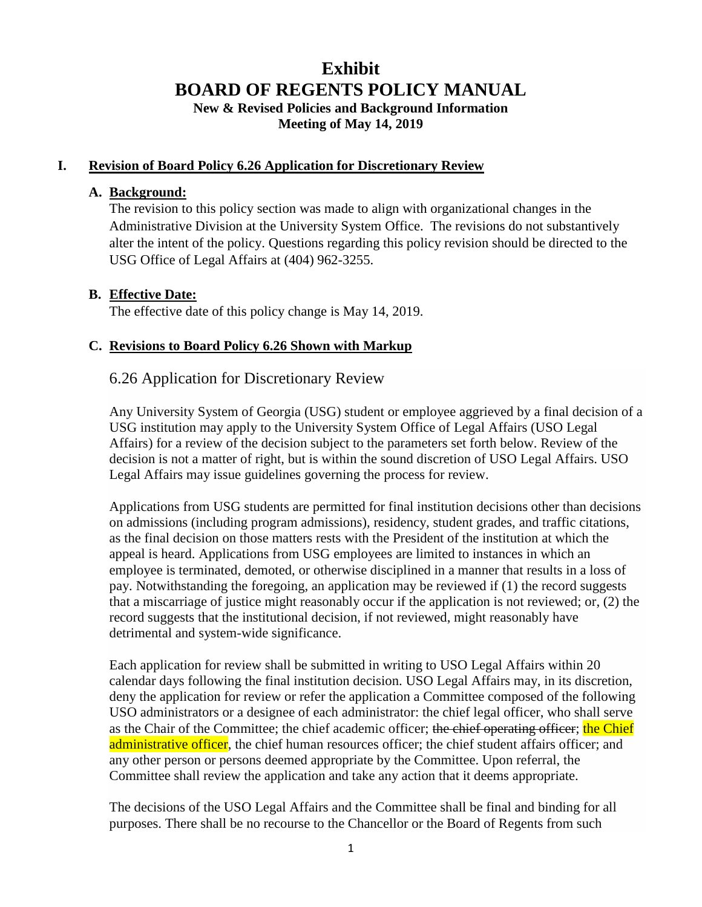# **Exhibit BOARD OF REGENTS POLICY MANUAL New & Revised Policies and Background Information Meeting of May 14, 2019**

#### **I. Revision of Board Policy 6.26 Application for Discretionary Review**

#### **A. Background:**

The revision to this policy section was made to align with organizational changes in the Administrative Division at the University System Office. The revisions do not substantively alter the intent of the policy. Questions regarding this policy revision should be directed to the USG Office of Legal Affairs at (404) 962-3255.

#### **B. Effective Date:**

The effective date of this policy change is May 14, 2019.

#### **C. Revisions to Board Policy 6.26 Shown with Markup**

#### 6.26 Application for Discretionary Review

Any University System of Georgia (USG) student or employee aggrieved by a final decision of a USG institution may apply to the University System Office of Legal Affairs (USO Legal Affairs) for a review of the decision subject to the parameters set forth below. Review of the decision is not a matter of right, but is within the sound discretion of USO Legal Affairs. USO Legal Affairs may issue guidelines governing the process for review.

Applications from USG students are permitted for final institution decisions other than decisions on admissions (including program admissions), residency, student grades, and traffic citations, as the final decision on those matters rests with the President of the institution at which the appeal is heard. Applications from USG employees are limited to instances in which an employee is terminated, demoted, or otherwise disciplined in a manner that results in a loss of pay. Notwithstanding the foregoing, an application may be reviewed if (1) the record suggests that a miscarriage of justice might reasonably occur if the application is not reviewed; or, (2) the record suggests that the institutional decision, if not reviewed, might reasonably have detrimental and system-wide significance.

Each application for review shall be submitted in writing to USO Legal Affairs within 20 calendar days following the final institution decision. USO Legal Affairs may, in its discretion, deny the application for review or refer the application a Committee composed of the following USO administrators or a designee of each administrator: the chief legal officer, who shall serve as the Chair of the Committee; the chief academic officer; the chief operating officer; the Chief administrative officer, the chief human resources officer; the chief student affairs officer; and any other person or persons deemed appropriate by the Committee. Upon referral, the Committee shall review the application and take any action that it deems appropriate.

The decisions of the USO Legal Affairs and the Committee shall be final and binding for all purposes. There shall be no recourse to the Chancellor or the Board of Regents from such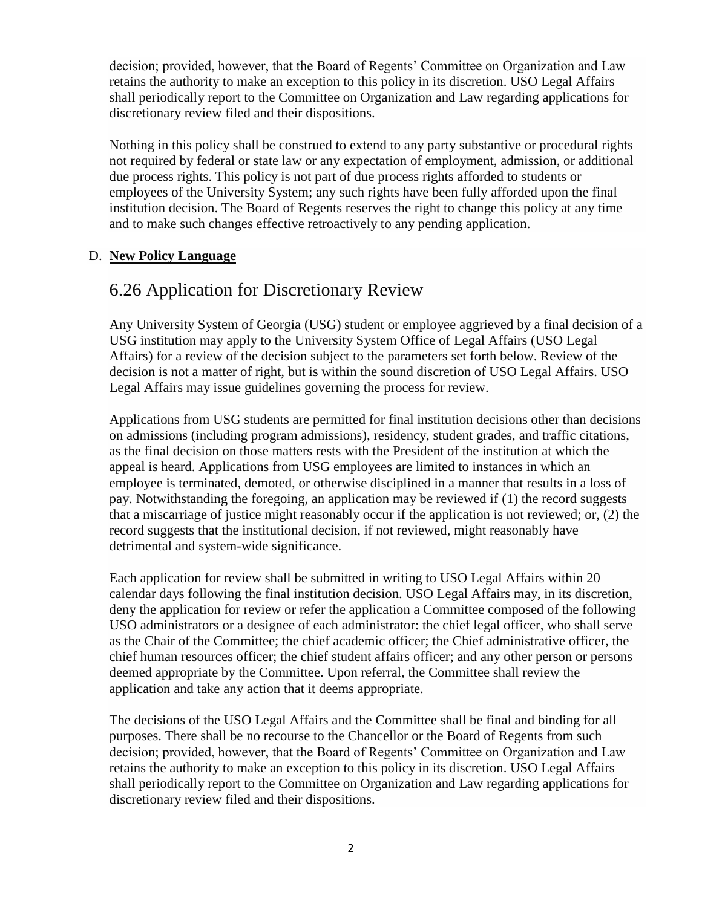decision; provided, however, that the Board of Regents' Committee on Organization and Law retains the authority to make an exception to this policy in its discretion. USO Legal Affairs shall periodically report to the Committee on Organization and Law regarding applications for discretionary review filed and their dispositions.

Nothing in this policy shall be construed to extend to any party substantive or procedural rights not required by federal or state law or any expectation of employment, admission, or additional due process rights. This policy is not part of due process rights afforded to students or employees of the University System; any such rights have been fully afforded upon the final institution decision. The Board of Regents reserves the right to change this policy at any time and to make such changes effective retroactively to any pending application.

# D. **New Policy Language**

# 6.26 Application for Discretionary Review

Any University System of Georgia (USG) student or employee aggrieved by a final decision of a USG institution may apply to the University System Office of Legal Affairs (USO Legal Affairs) for a review of the decision subject to the parameters set forth below. Review of the decision is not a matter of right, but is within the sound discretion of USO Legal Affairs. USO Legal Affairs may issue guidelines governing the process for review.

Applications from USG students are permitted for final institution decisions other than decisions on admissions (including program admissions), residency, student grades, and traffic citations, as the final decision on those matters rests with the President of the institution at which the appeal is heard. Applications from USG employees are limited to instances in which an employee is terminated, demoted, or otherwise disciplined in a manner that results in a loss of pay. Notwithstanding the foregoing, an application may be reviewed if (1) the record suggests that a miscarriage of justice might reasonably occur if the application is not reviewed; or, (2) the record suggests that the institutional decision, if not reviewed, might reasonably have detrimental and system-wide significance.

Each application for review shall be submitted in writing to USO Legal Affairs within 20 calendar days following the final institution decision. USO Legal Affairs may, in its discretion, deny the application for review or refer the application a Committee composed of the following USO administrators or a designee of each administrator: the chief legal officer, who shall serve as the Chair of the Committee; the chief academic officer; the Chief administrative officer, the chief human resources officer; the chief student affairs officer; and any other person or persons deemed appropriate by the Committee. Upon referral, the Committee shall review the application and take any action that it deems appropriate.

The decisions of the USO Legal Affairs and the Committee shall be final and binding for all purposes. There shall be no recourse to the Chancellor or the Board of Regents from such decision; provided, however, that the Board of Regents' Committee on Organization and Law retains the authority to make an exception to this policy in its discretion. USO Legal Affairs shall periodically report to the Committee on Organization and Law regarding applications for discretionary review filed and their dispositions.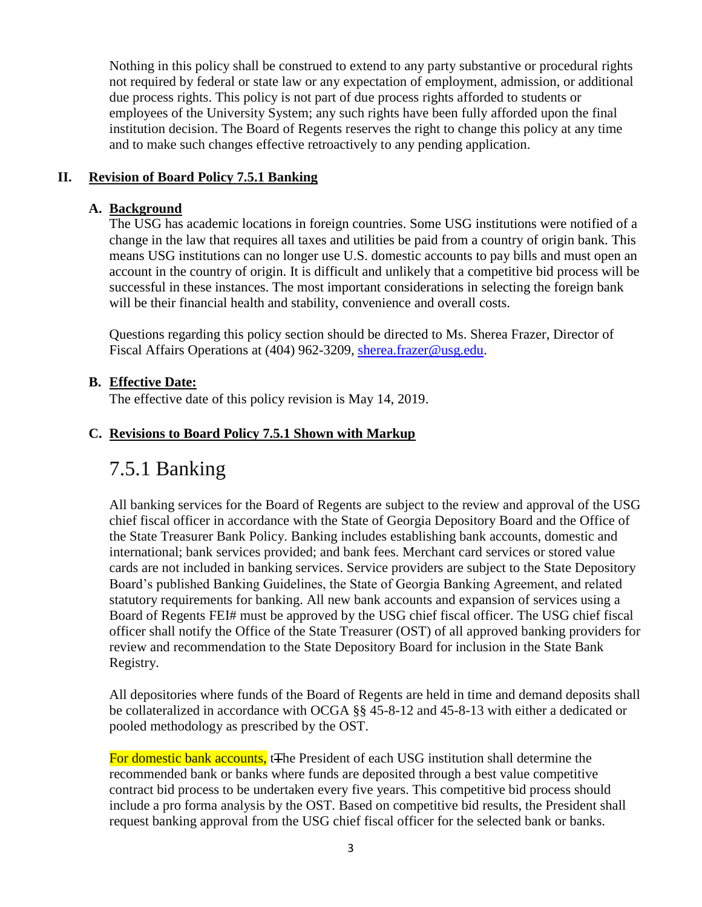Nothing in this policy shall be construed to extend to any party substantive or procedural rights not required by federal or state law or any expectation of employment, admission, or additional due process rights. This policy is not part of due process rights afforded to students or employees of the University System; any such rights have been fully afforded upon the final institution decision. The Board of Regents reserves the right to change this policy at any time and to make such changes effective retroactively to any pending application.

#### **II. Revision of Board Policy 7.5.1 Banking**

#### **A. Background**

The USG has academic locations in foreign countries. Some USG institutions were notified of a change in the law that requires all taxes and utilities be paid from a country of origin bank. This means USG institutions can no longer use U.S. domestic accounts to pay bills and must open an account in the country of origin. It is difficult and unlikely that a competitive bid process will be successful in these instances. The most important considerations in selecting the foreign bank will be their financial health and stability, convenience and overall costs.

Questions regarding this policy section should be directed to Ms. Sherea Frazer, Director of Fiscal Affairs Operations at (404) 962-3209, sherea.frazer@usg.edu.

#### **B. Effective Date:**

The effective date of this policy revision is May 14, 2019.

#### **C. Revisions to Board Policy 7.5.1 Shown with Markup**

# 7.5.1 Banking

All banking services for the Board of Regents are subject to the review and approval of the USG chief fiscal officer in accordance with the State of Georgia Depository Board and the Office of the State Treasurer Bank Policy. Banking includes establishing bank accounts, domestic and international; bank services provided; and bank fees. Merchant card services or stored value cards are not included in banking services. Service providers are subject to the State Depository Board's published Banking Guidelines, the State of Georgia Banking Agreement, and related statutory requirements for banking. All new bank accounts and expansion of services using a Board of Regents FEI# must be approved by the USG chief fiscal officer. The USG chief fiscal officer shall notify the Office of the State Treasurer (OST) of all approved banking providers for review and recommendation to the State Depository Board for inclusion in the State Bank Registry.

All depositories where funds of the Board of Regents are held in time and demand deposits shall be collateralized in accordance with OCGA §§ 45-8-12 and 45-8-13 with either a dedicated or pooled methodology as prescribed by the OST.

For domestic bank accounts, tThe President of each USG institution shall determine the recommended bank or banks where funds are deposited through a best value competitive contract bid process to be undertaken every five years. This competitive bid process should include a pro forma analysis by the OST. Based on competitive bid results, the President shall request banking approval from the USG chief fiscal officer for the selected bank or banks.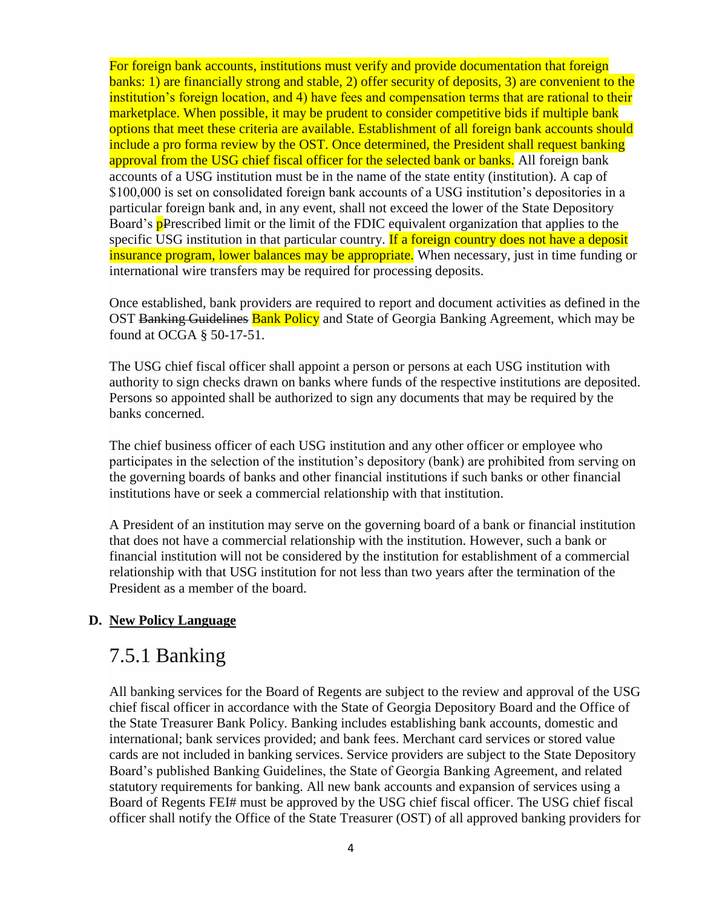For foreign bank accounts, institutions must verify and provide documentation that foreign banks: 1) are financially strong and stable, 2) offer security of deposits, 3) are convenient to the institution's foreign location, and 4) have fees and compensation terms that are rational to their marketplace. When possible, it may be prudent to consider competitive bids if multiple bank options that meet these criteria are available. Establishment of all foreign bank accounts should include a pro forma review by the OST. Once determined, the President shall request banking approval from the USG chief fiscal officer for the selected bank or banks. All foreign bank accounts of a USG institution must be in the name of the state entity (institution). A cap of \$100,000 is set on consolidated foreign bank accounts of a USG institution's depositories in a particular foreign bank and, in any event, shall not exceed the lower of the State Depository Board's **p**Prescribed limit or the limit of the FDIC equivalent organization that applies to the specific USG institution in that particular country. If a foreign country does not have a deposit insurance program, lower balances may be appropriate. When necessary, just in time funding or international wire transfers may be required for processing deposits.

Once established, bank providers are required to report and document activities as defined in the OST Banking Guidelines Bank Policy and State of Georgia Banking Agreement, which may be found at OCGA § 50-17-51.

The USG chief fiscal officer shall appoint a person or persons at each USG institution with authority to sign checks drawn on banks where funds of the respective institutions are deposited. Persons so appointed shall be authorized to sign any documents that may be required by the banks concerned.

The chief business officer of each USG institution and any other officer or employee who participates in the selection of the institution's depository (bank) are prohibited from serving on the governing boards of banks and other financial institutions if such banks or other financial institutions have or seek a commercial relationship with that institution.

A President of an institution may serve on the governing board of a bank or financial institution that does not have a commercial relationship with the institution. However, such a bank or financial institution will not be considered by the institution for establishment of a commercial relationship with that USG institution for not less than two years after the termination of the President as a member of the board.

# **D. New Policy Language**

# 7.5.1 Banking

All banking services for the Board of Regents are subject to the review and approval of the USG chief fiscal officer in accordance with the State of Georgia Depository Board and the Office of the State Treasurer Bank Policy. Banking includes establishing bank accounts, domestic and international; bank services provided; and bank fees. Merchant card services or stored value cards are not included in banking services. Service providers are subject to the State Depository Board's published Banking Guidelines, the State of Georgia Banking Agreement, and related statutory requirements for banking. All new bank accounts and expansion of services using a Board of Regents FEI# must be approved by the USG chief fiscal officer. The USG chief fiscal officer shall notify the Office of the State Treasurer (OST) of all approved banking providers for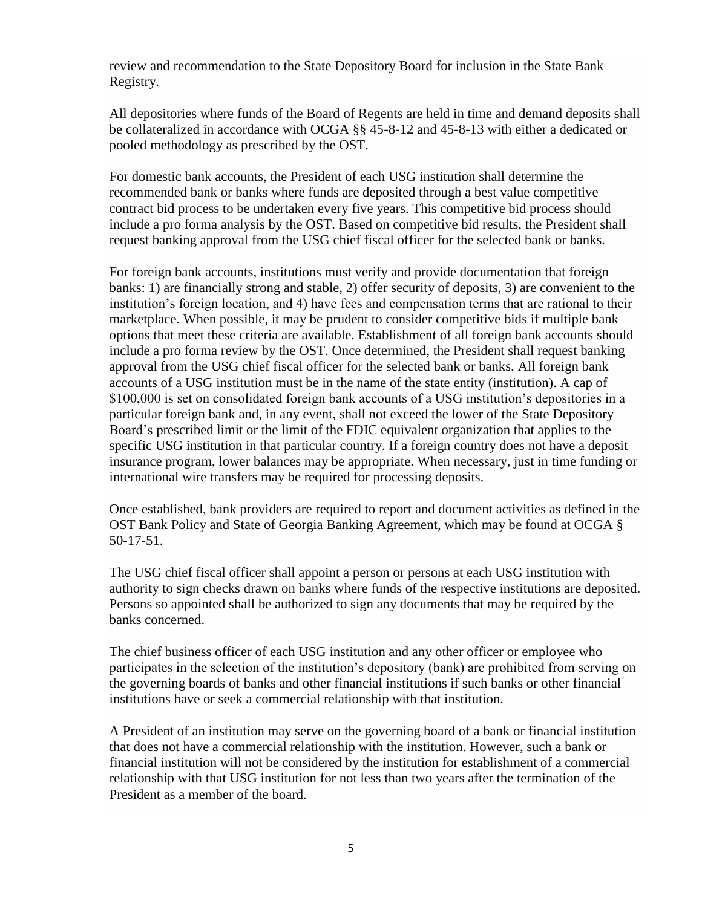review and recommendation to the State Depository Board for inclusion in the State Bank Registry.

All depositories where funds of the Board of Regents are held in time and demand deposits shall be collateralized in accordance with OCGA §§ 45-8-12 and 45-8-13 with either a dedicated or pooled methodology as prescribed by the OST.

For domestic bank accounts, the President of each USG institution shall determine the recommended bank or banks where funds are deposited through a best value competitive contract bid process to be undertaken every five years. This competitive bid process should include a pro forma analysis by the OST. Based on competitive bid results, the President shall request banking approval from the USG chief fiscal officer for the selected bank or banks.

For foreign bank accounts, institutions must verify and provide documentation that foreign banks: 1) are financially strong and stable, 2) offer security of deposits, 3) are convenient to the institution's foreign location, and 4) have fees and compensation terms that are rational to their marketplace. When possible, it may be prudent to consider competitive bids if multiple bank options that meet these criteria are available. Establishment of all foreign bank accounts should include a pro forma review by the OST. Once determined, the President shall request banking approval from the USG chief fiscal officer for the selected bank or banks. All foreign bank accounts of a USG institution must be in the name of the state entity (institution). A cap of \$100,000 is set on consolidated foreign bank accounts of a USG institution's depositories in a particular foreign bank and, in any event, shall not exceed the lower of the State Depository Board's prescribed limit or the limit of the FDIC equivalent organization that applies to the specific USG institution in that particular country. If a foreign country does not have a deposit insurance program, lower balances may be appropriate. When necessary, just in time funding or international wire transfers may be required for processing deposits.

Once established, bank providers are required to report and document activities as defined in the OST Bank Policy and State of Georgia Banking Agreement, which may be found at OCGA § 50-17-51.

The USG chief fiscal officer shall appoint a person or persons at each USG institution with authority to sign checks drawn on banks where funds of the respective institutions are deposited. Persons so appointed shall be authorized to sign any documents that may be required by the banks concerned.

The chief business officer of each USG institution and any other officer or employee who participates in the selection of the institution's depository (bank) are prohibited from serving on the governing boards of banks and other financial institutions if such banks or other financial institutions have or seek a commercial relationship with that institution.

A President of an institution may serve on the governing board of a bank or financial institution that does not have a commercial relationship with the institution. However, such a bank or financial institution will not be considered by the institution for establishment of a commercial relationship with that USG institution for not less than two years after the termination of the President as a member of the board.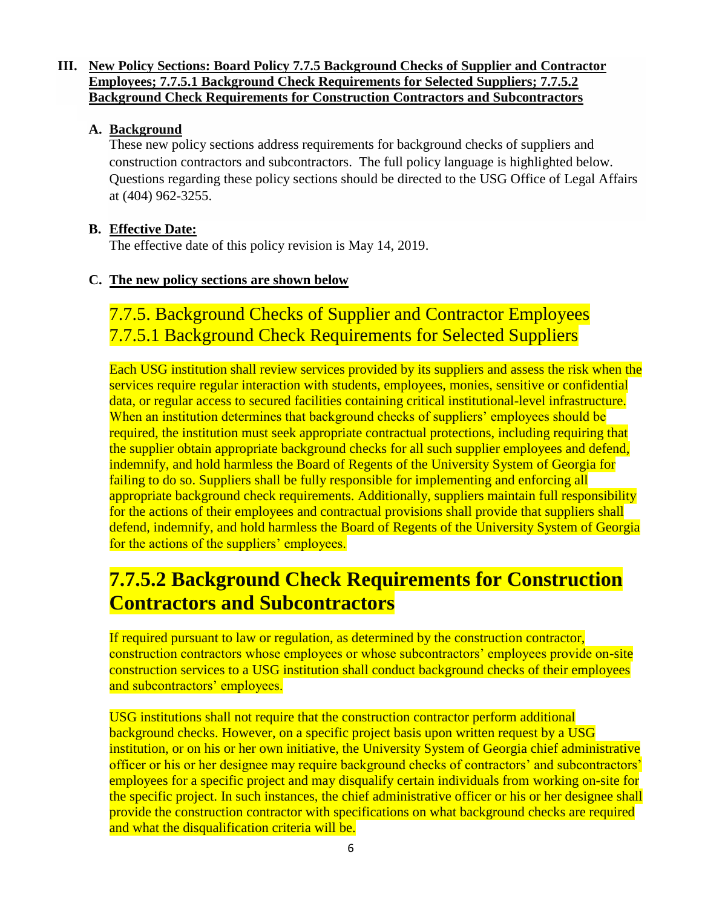## **III. New Policy Sections: Board Policy 7.7.5 Background Checks of Supplier and Contractor Employees; 7.7.5.1 Background Check Requirements for Selected Suppliers; 7.7.5.2 Background Check Requirements for Construction Contractors and Subcontractors**

# **A. Background**

These new policy sections address requirements for background checks of suppliers and construction contractors and subcontractors. The full policy language is highlighted below. Questions regarding these policy sections should be directed to the USG Office of Legal Affairs at (404) 962-3255.

# **B. Effective Date:**

The effective date of this policy revision is May 14, 2019.

# **C. The new policy sections are shown below**

# 7.7.5. Background Checks of Supplier and Contractor Employees 7.7.5.1 Background Check Requirements for Selected Suppliers

Each USG institution shall review services provided by its suppliers and assess the risk when the services require regular interaction with students, employees, monies, sensitive or confidential data, or regular access to secured facilities containing critical institutional-level infrastructure. When an institution determines that background checks of suppliers' employees should be required, the institution must seek appropriate contractual protections, including requiring that the supplier obtain appropriate background checks for all such supplier employees and defend, indemnify, and hold harmless the Board of Regents of the University System of Georgia for failing to do so. Suppliers shall be fully responsible for implementing and enforcing all appropriate background check requirements. Additionally, suppliers maintain full responsibility for the actions of their employees and contractual provisions shall provide that suppliers shall defend, indemnify, and hold harmless the Board of Regents of the University System of Georgia for the actions of the suppliers' employees.

# **7.7.5.2 Background Check Requirements for Construction Contractors and Subcontractors**

If required pursuant to law or regulation, as determined by the construction contractor, construction contractors whose employees or whose subcontractors' employees provide on-site construction services to a USG institution shall conduct background checks of their employees and subcontractors' employees.

USG institutions shall not require that the construction contractor perform additional background checks. However, on a specific project basis upon written request by a USG institution, or on his or her own initiative, the University System of Georgia chief administrative officer or his or her designee may require background checks of contractors' and subcontractors' employees for a specific project and may disqualify certain individuals from working on-site for the specific project. In such instances, the chief administrative officer or his or her designee shall provide the construction contractor with specifications on what background checks are required and what the disqualification criteria will be.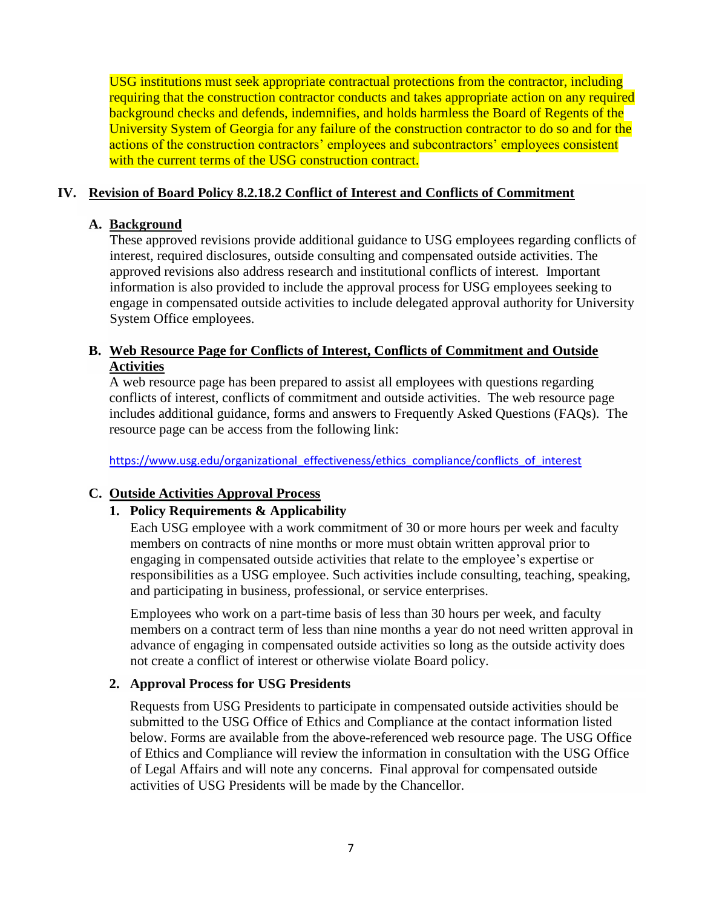USG institutions must seek appropriate contractual protections from the contractor, including requiring that the construction contractor conducts and takes appropriate action on any required background checks and defends, indemnifies, and holds harmless the Board of Regents of the University System of Georgia for any failure of the construction contractor to do so and for the actions of the construction contractors' employees and subcontractors' employees consistent with the current terms of the USG construction contract.

#### **IV. Revision of Board Policy 8.2.18.2 Conflict of Interest and Conflicts of Commitment**

## **A. Background**

These approved revisions provide additional guidance to USG employees regarding conflicts of interest, required disclosures, outside consulting and compensated outside activities. The approved revisions also address research and institutional conflicts of interest. Important information is also provided to include the approval process for USG employees seeking to engage in compensated outside activities to include delegated approval authority for University System Office employees.

#### **B. Web Resource Page for Conflicts of Interest, Conflicts of Commitment and Outside Activities**

A web resource page has been prepared to assist all employees with questions regarding conflicts of interest, conflicts of commitment and outside activities. The web resource page includes additional guidance, forms and answers to Frequently Asked Questions (FAQs). The resource page can be access from the following link:

https://www.usg.edu/organizational\_effectiveness/ethics\_compliance/conflicts\_of\_interest

# **C. Outside Activities Approval Process**

# **1. Policy Requirements & Applicability**

Each USG employee with a work commitment of 30 or more hours per week and faculty members on contracts of nine months or more must obtain written approval prior to engaging in compensated outside activities that relate to the employee's expertise or responsibilities as a USG employee. Such activities include consulting, teaching, speaking, and participating in business, professional, or service enterprises.

Employees who work on a part-time basis of less than 30 hours per week, and faculty members on a contract term of less than nine months a year do not need written approval in advance of engaging in compensated outside activities so long as the outside activity does not create a conflict of interest or otherwise violate Board policy.

#### **2. Approval Process for USG Presidents**

Requests from USG Presidents to participate in compensated outside activities should be submitted to the USG Office of Ethics and Compliance at the contact information listed below. Forms are available from the above-referenced web resource page. The USG Office of Ethics and Compliance will review the information in consultation with the USG Office of Legal Affairs and will note any concerns. Final approval for compensated outside activities of USG Presidents will be made by the Chancellor.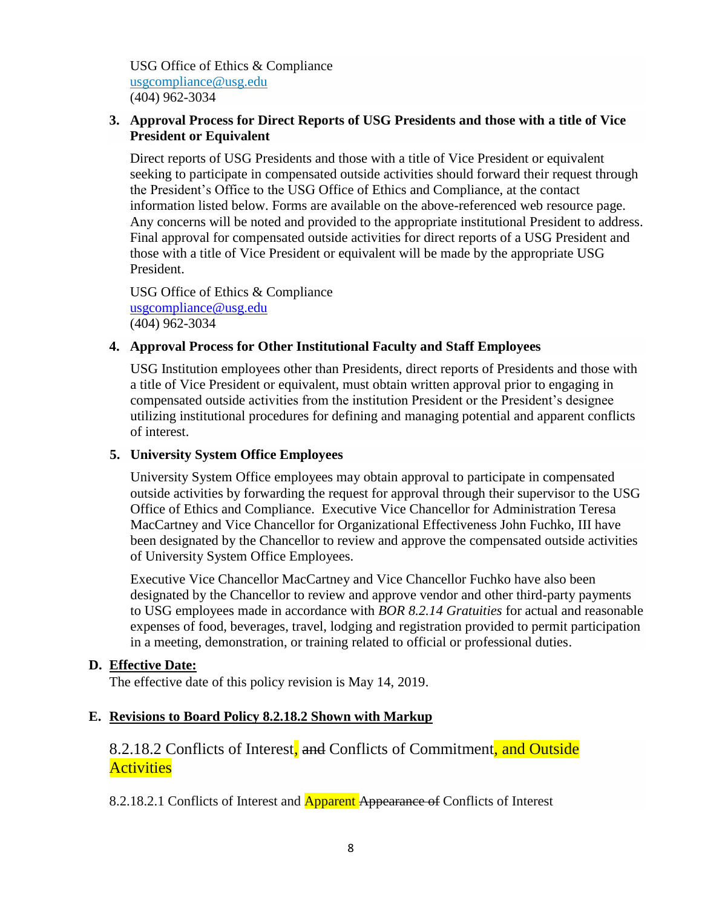USG Office of Ethics & Compliance usgcompliance@usg.edu (404) 962-3034

# **3. Approval Process for Direct Reports of USG Presidents and those with a title of Vice President or Equivalent**

Direct reports of USG Presidents and those with a title of Vice President or equivalent seeking to participate in compensated outside activities should forward their request through the President's Office to the USG Office of Ethics and Compliance, at the contact information listed below. Forms are available on the above-referenced web resource page. Any concerns will be noted and provided to the appropriate institutional President to address. Final approval for compensated outside activities for direct reports of a USG President and those with a title of Vice President or equivalent will be made by the appropriate USG President.

USG Office of Ethics & Compliance usgcompliance@usg.edu (404) 962-3034

#### **4. Approval Process for Other Institutional Faculty and Staff Employees**

USG Institution employees other than Presidents, direct reports of Presidents and those with a title of Vice President or equivalent, must obtain written approval prior to engaging in compensated outside activities from the institution President or the President's designee utilizing institutional procedures for defining and managing potential and apparent conflicts of interest.

#### **5. University System Office Employees**

University System Office employees may obtain approval to participate in compensated outside activities by forwarding the request for approval through their supervisor to the USG Office of Ethics and Compliance. Executive Vice Chancellor for Administration Teresa MacCartney and Vice Chancellor for Organizational Effectiveness John Fuchko, III have been designated by the Chancellor to review and approve the compensated outside activities of University System Office Employees.

Executive Vice Chancellor MacCartney and Vice Chancellor Fuchko have also been designated by the Chancellor to review and approve vendor and other third-party payments to USG employees made in accordance with *BOR 8.2.14 Gratuities* for actual and reasonable expenses of food, beverages, travel, lodging and registration provided to permit participation in a meeting, demonstration, or training related to official or professional duties.

#### **D. Effective Date:**

The effective date of this policy revision is May 14, 2019.

#### **E. Revisions to Board Policy 8.2.18.2 Shown with Markup**

# 8.2.18.2 Conflicts of Interest, and Conflicts of Commitment, and Outside **Activities**

8.2.18.2.1 Conflicts of Interest and **Apparent Appearance of Conflicts of Interest**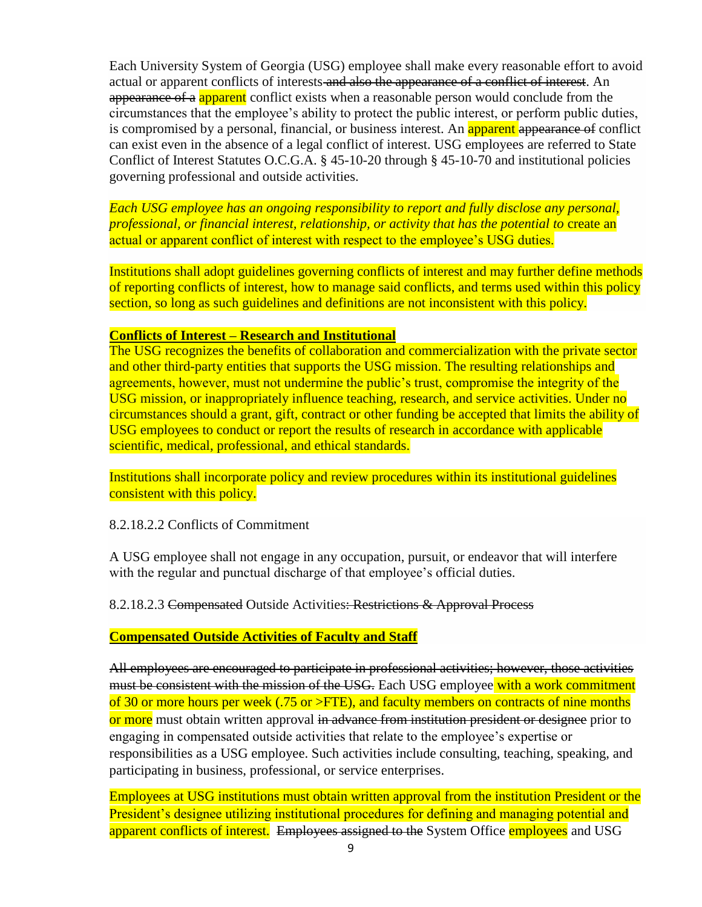Each University System of Georgia (USG) employee shall make every reasonable effort to avoid actual or apparent conflicts of interests and also the appearance of a conflict of interest. An appearance of a apparent conflict exists when a reasonable person would conclude from the circumstances that the employee's ability to protect the public interest, or perform public duties, is compromised by a personal, financial, or business interest. An **apparent appearance of conflict** can exist even in the absence of a legal conflict of interest. USG employees are referred to State Conflict of Interest Statutes O.C.G.A. § 45-10-20 through § 45-10-70 and institutional policies governing professional and outside activities.

*Each USG employee has an ongoing responsibility to report and fully disclose any personal, professional, or financial interest, relationship, or activity that has the potential to create an* actual or apparent conflict of interest with respect to the employee's USG duties.

Institutions shall adopt guidelines governing conflicts of interest and may further define methods of reporting conflicts of interest, how to manage said conflicts, and terms used within this policy section, so long as such guidelines and definitions are not inconsistent with this policy.

#### **Conflicts of Interest – Research and Institutional**

The USG recognizes the benefits of collaboration and commercialization with the private sector and other third-party entities that supports the USG mission. The resulting relationships and agreements, however, must not undermine the public's trust, compromise the integrity of the USG mission, or inappropriately influence teaching, research, and service activities. Under no circumstances should a grant, gift, contract or other funding be accepted that limits the ability of USG employees to conduct or report the results of research in accordance with applicable scientific, medical, professional, and ethical standards.

Institutions shall incorporate policy and review procedures within its institutional guidelines consistent with this policy.

8.2.18.2.2 Conflicts of Commitment

A USG employee shall not engage in any occupation, pursuit, or endeavor that will interfere with the regular and punctual discharge of that employee's official duties.

8.2.18.2.3 Compensated Outside Activities: Restrictions & Approval Process

**Compensated Outside Activities of Faculty and Staff**

All employees are encouraged to participate in professional activities; however, those activities must be consistent with the mission of the USG. Each USG employee with a work commitment of 30 or more hours per week (.75 or >FTE), and faculty members on contracts of nine months or more must obtain written approval in advance from institution president or designee prior to engaging in compensated outside activities that relate to the employee's expertise or responsibilities as a USG employee. Such activities include consulting, teaching, speaking, and participating in business, professional, or service enterprises.

Employees at USG institutions must obtain written approval from the institution President or the President's designee utilizing institutional procedures for defining and managing potential and apparent conflicts of interest. Employees assigned to the System Office employees and USG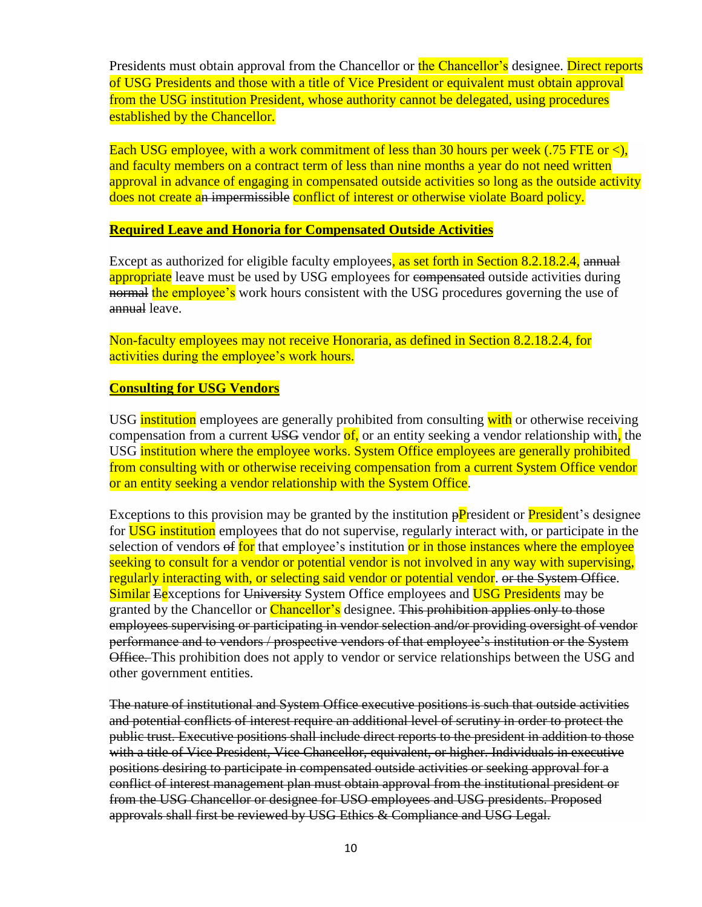Presidents must obtain approval from the Chancellor or the Chancellor's designee. Direct reports of USG Presidents and those with a title of Vice President or equivalent must obtain approval from the USG institution President, whose authority cannot be delegated, using procedures established by the Chancellor.

Each USG employee, with a work commitment of less than 30 hours per week (.75 FTE or  $\lt$ ), and faculty members on a contract term of less than nine months a year do not need written approval in advance of engaging in compensated outside activities so long as the outside activity does not create an impermissible conflict of interest or otherwise violate Board policy.

#### **Required Leave and Honoria for Compensated Outside Activities**

Except as authorized for eligible faculty employees, as set forth in Section 8.2.18.2.4, annual appropriate leave must be used by USG employees for compensated outside activities during normal the employee's work hours consistent with the USG procedures governing the use of annual leave.

Non-faculty employees may not receive Honoraria, as defined in Section 8.2.18.2.4, for activities during the employee's work hours.

#### **Consulting for USG Vendors**

USG institution employees are generally prohibited from consulting with or otherwise receiving compensation from a current USG vendor of, or an entity seeking a vendor relationship with, the USG institution where the employee works. System Office employees are generally prohibited from consulting with or otherwise receiving compensation from a current System Office vendor or an entity seeking a vendor relationship with the System Office.

Exceptions to this provision may be granted by the institution  $\frac{P}{P}$  resident or President's designee for USG institution employees that do not supervise, regularly interact with, or participate in the selection of vendors of for that employee's institution or in those instances where the employee seeking to consult for a vendor or potential vendor is not involved in any way with supervising, regularly interacting with, or selecting said vendor or potential vendor. or the System Office. **Similar Eexceptions for University System Office employees and USG Presidents** may be granted by the Chancellor or Chancellor's designee. This prohibition applies only to those employees supervising or participating in vendor selection and/or providing oversight of vendor performance and to vendors / prospective vendors of that employee's institution or the System Office. This prohibition does not apply to vendor or service relationships between the USG and other government entities.

The nature of institutional and System Office executive positions is such that outside activities and potential conflicts of interest require an additional level of scrutiny in order to protect the public trust. Executive positions shall include direct reports to the president in addition to those with a title of Vice President, Vice Chancellor, equivalent, or higher. Individuals in executive positions desiring to participate in compensated outside activities or seeking approval for a conflict of interest management plan must obtain approval from the institutional president or from the USG Chancellor or designee for USO employees and USG presidents. Proposed approvals shall first be reviewed by USG Ethics & Compliance and USG Legal.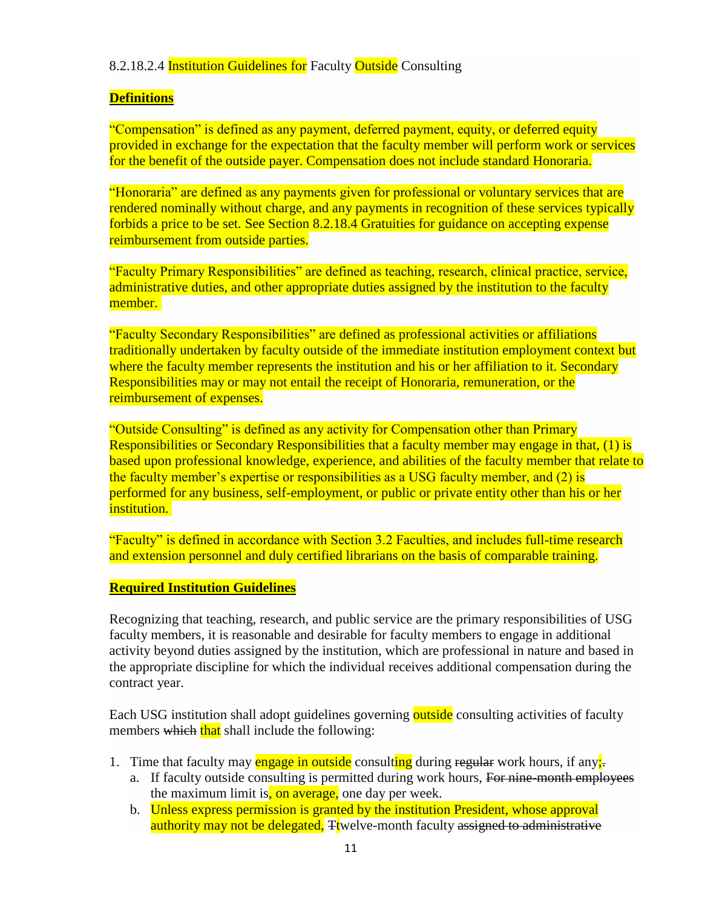## 8.2.18.2.4 Institution Guidelines for Faculty Outside Consulting

## **Definitions**

"Compensation" is defined as any payment, deferred payment, equity, or deferred equity provided in exchange for the expectation that the faculty member will perform work or services for the benefit of the outside payer. Compensation does not include standard Honoraria.

"Honoraria" are defined as any payments given for professional or voluntary services that are rendered nominally without charge, and any payments in recognition of these services typically forbids a price to be set. See Section 8.2.18.4 Gratuities for guidance on accepting expense reimbursement from outside parties.

"Faculty Primary Responsibilities" are defined as teaching, research, clinical practice, service, administrative duties, and other appropriate duties assigned by the institution to the faculty member.

"Faculty Secondary Responsibilities" are defined as professional activities or affiliations traditionally undertaken by faculty outside of the immediate institution employment context but where the faculty member represents the institution and his or her affiliation to it. Secondary Responsibilities may or may not entail the receipt of Honoraria, remuneration, or the reimbursement of expenses.

"Outside Consulting" is defined as any activity for Compensation other than Primary Responsibilities or Secondary Responsibilities that a faculty member may engage in that, (1) is based upon professional knowledge, experience, and abilities of the faculty member that relate to the faculty member's expertise or responsibilities as a USG faculty member, and (2) is performed for any business, self-employment, or public or private entity other than his or her institution.

"Faculty" is defined in accordance with Section 3.2 Faculties, and includes full-time research and extension personnel and duly certified librarians on the basis of comparable training.

# **Required Institution Guidelines**

Recognizing that teaching, research, and public service are the primary responsibilities of USG faculty members, it is reasonable and desirable for faculty members to engage in additional activity beyond duties assigned by the institution, which are professional in nature and based in the appropriate discipline for which the individual receives additional compensation during the contract year.

Each USG institution shall adopt guidelines governing outside consulting activities of faculty members which that shall include the following:

- 1. Time that faculty may engage in outside consulting during regular work hours, if any:
	- a. If faculty outside consulting is permitted during work hours, For nine-month employees the maximum limit is, on average, one day per week.
	- b. Unless express permission is granted by the institution President, whose approval authority may not be delegated, Truelve-month faculty assigned to administrative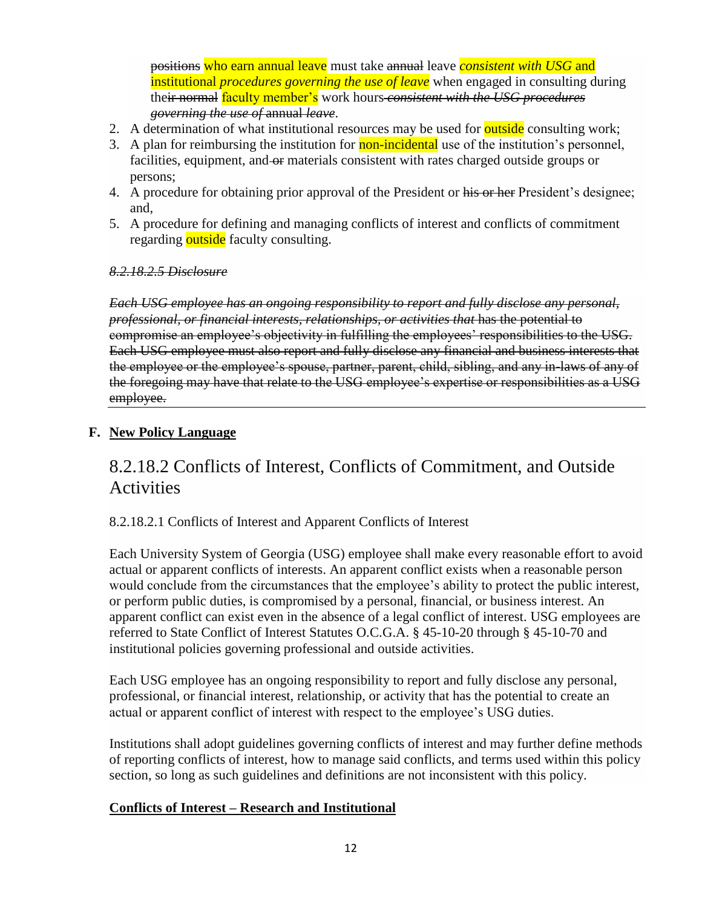positions who earn annual leave must take annual leave *consistent with USG* and institutional *procedures governing the use of leave* when engaged in consulting during their normal faculty member's work hours *consistent with the USG procedures governing the use of* annual *leave*.

- 2. A determination of what institutional resources may be used for **outside** consulting work;
- 3. A plan for reimbursing the institution for **non-incidental** use of the institution's personnel, facilities, equipment, and  $\Theta$  materials consistent with rates charged outside groups or persons;
- 4. A procedure for obtaining prior approval of the President or his or her President's designee; and,
- 5. A procedure for defining and managing conflicts of interest and conflicts of commitment regarding outside faculty consulting.

#### *8.2.18.2.5 Disclosure*

*Each USG employee has an ongoing responsibility to report and fully disclose any personal, professional, or financial interests, relationships, or activities that* has the potential to compromise an employee's objectivity in fulfilling the employees' responsibilities to the USG. Each USG employee must also report and fully disclose any financial and business interests that the employee or the employee's spouse, partner, parent, child, sibling, and any in-laws of any of the foregoing may have that relate to the USG employee's expertise or responsibilities as a USG employee.

# **F. New Policy Language**

# 8.2.18.2 Conflicts of Interest, Conflicts of Commitment, and Outside **Activities**

# 8.2.18.2.1 Conflicts of Interest and Apparent Conflicts of Interest

Each University System of Georgia (USG) employee shall make every reasonable effort to avoid actual or apparent conflicts of interests. An apparent conflict exists when a reasonable person would conclude from the circumstances that the employee's ability to protect the public interest, or perform public duties, is compromised by a personal, financial, or business interest. An apparent conflict can exist even in the absence of a legal conflict of interest. USG employees are referred to State Conflict of Interest Statutes O.C.G.A. § 45-10-20 through § 45-10-70 and institutional policies governing professional and outside activities.

Each USG employee has an ongoing responsibility to report and fully disclose any personal, professional, or financial interest, relationship, or activity that has the potential to create an actual or apparent conflict of interest with respect to the employee's USG duties.

Institutions shall adopt guidelines governing conflicts of interest and may further define methods of reporting conflicts of interest, how to manage said conflicts, and terms used within this policy section, so long as such guidelines and definitions are not inconsistent with this policy.

#### **Conflicts of Interest – Research and Institutional**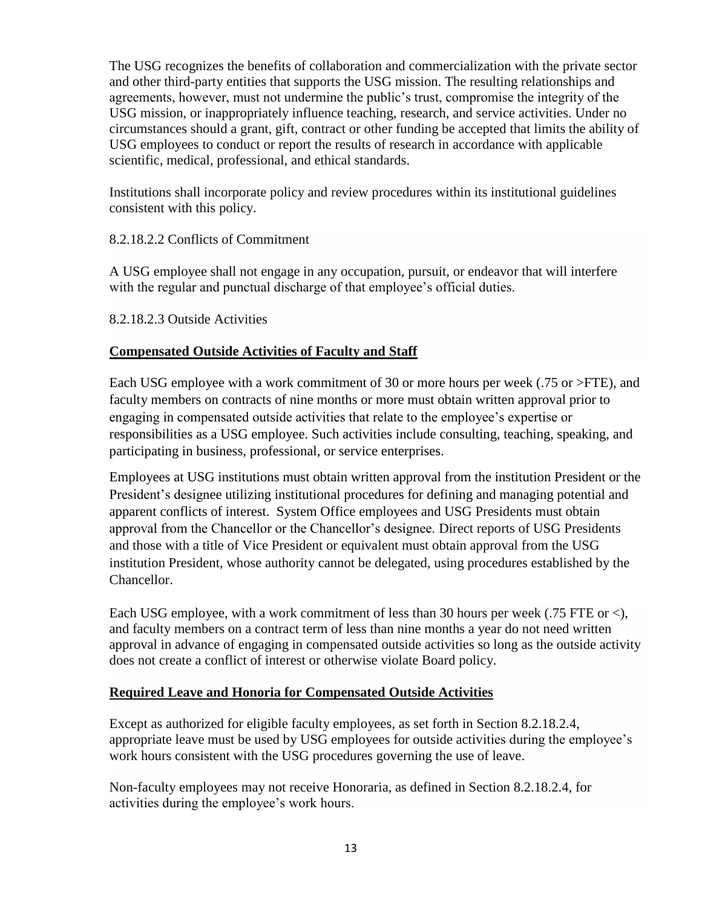The USG recognizes the benefits of collaboration and commercialization with the private sector and other third-party entities that supports the USG mission. The resulting relationships and agreements, however, must not undermine the public's trust, compromise the integrity of the USG mission, or inappropriately influence teaching, research, and service activities. Under no circumstances should a grant, gift, contract or other funding be accepted that limits the ability of USG employees to conduct or report the results of research in accordance with applicable scientific, medical, professional, and ethical standards.

Institutions shall incorporate policy and review procedures within its institutional guidelines consistent with this policy.

# 8.2.18.2.2 Conflicts of Commitment

A USG employee shall not engage in any occupation, pursuit, or endeavor that will interfere with the regular and punctual discharge of that employee's official duties.

8.2.18.2.3 Outside Activities

# **Compensated Outside Activities of Faculty and Staff**

Each USG employee with a work commitment of 30 or more hours per week (.75 or >FTE), and faculty members on contracts of nine months or more must obtain written approval prior to engaging in compensated outside activities that relate to the employee's expertise or responsibilities as a USG employee. Such activities include consulting, teaching, speaking, and participating in business, professional, or service enterprises.

Employees at USG institutions must obtain written approval from the institution President or the President's designee utilizing institutional procedures for defining and managing potential and apparent conflicts of interest. System Office employees and USG Presidents must obtain approval from the Chancellor or the Chancellor's designee. Direct reports of USG Presidents and those with a title of Vice President or equivalent must obtain approval from the USG institution President, whose authority cannot be delegated, using procedures established by the Chancellor.

Each USG employee, with a work commitment of less than 30 hours per week (.75 FTE or  $\lt$ ), and faculty members on a contract term of less than nine months a year do not need written approval in advance of engaging in compensated outside activities so long as the outside activity does not create a conflict of interest or otherwise violate Board policy.

# **Required Leave and Honoria for Compensated Outside Activities**

Except as authorized for eligible faculty employees, as set forth in Section 8.2.18.2.4, appropriate leave must be used by USG employees for outside activities during the employee's work hours consistent with the USG procedures governing the use of leave.

Non-faculty employees may not receive Honoraria, as defined in Section 8.2.18.2.4, for activities during the employee's work hours.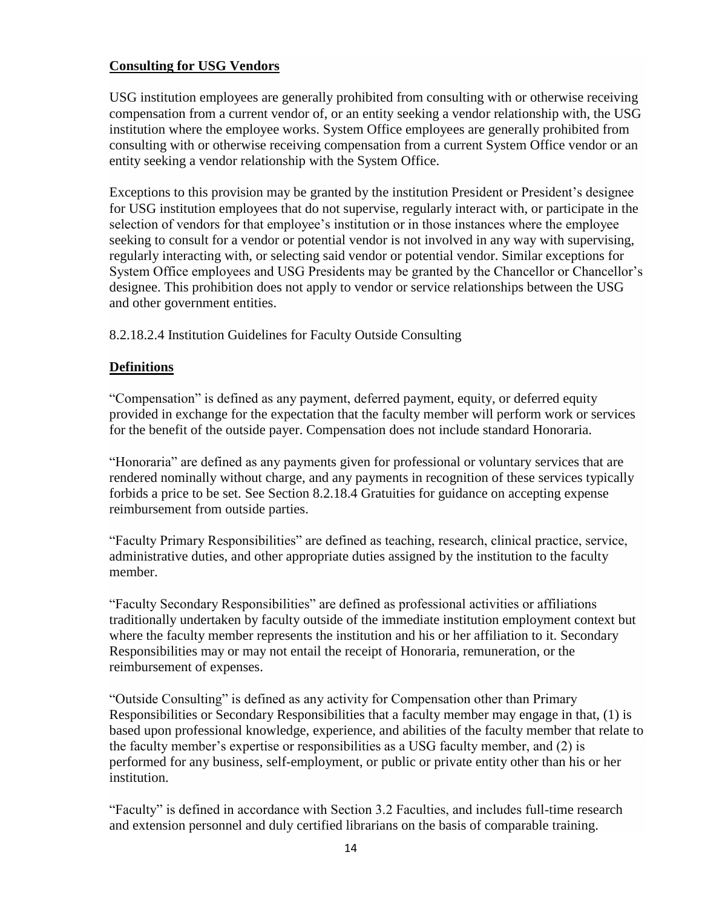# **Consulting for USG Vendors**

USG institution employees are generally prohibited from consulting with or otherwise receiving compensation from a current vendor of, or an entity seeking a vendor relationship with, the USG institution where the employee works. System Office employees are generally prohibited from consulting with or otherwise receiving compensation from a current System Office vendor or an entity seeking a vendor relationship with the System Office.

Exceptions to this provision may be granted by the institution President or President's designee for USG institution employees that do not supervise, regularly interact with, or participate in the selection of vendors for that employee's institution or in those instances where the employee seeking to consult for a vendor or potential vendor is not involved in any way with supervising, regularly interacting with, or selecting said vendor or potential vendor. Similar exceptions for System Office employees and USG Presidents may be granted by the Chancellor or Chancellor's designee. This prohibition does not apply to vendor or service relationships between the USG and other government entities.

8.2.18.2.4 Institution Guidelines for Faculty Outside Consulting

# **Definitions**

"Compensation" is defined as any payment, deferred payment, equity, or deferred equity provided in exchange for the expectation that the faculty member will perform work or services for the benefit of the outside payer. Compensation does not include standard Honoraria.

"Honoraria" are defined as any payments given for professional or voluntary services that are rendered nominally without charge, and any payments in recognition of these services typically forbids a price to be set. See Section 8.2.18.4 Gratuities for guidance on accepting expense reimbursement from outside parties.

"Faculty Primary Responsibilities" are defined as teaching, research, clinical practice, service, administrative duties, and other appropriate duties assigned by the institution to the faculty member.

"Faculty Secondary Responsibilities" are defined as professional activities or affiliations traditionally undertaken by faculty outside of the immediate institution employment context but where the faculty member represents the institution and his or her affiliation to it. Secondary Responsibilities may or may not entail the receipt of Honoraria, remuneration, or the reimbursement of expenses.

"Outside Consulting" is defined as any activity for Compensation other than Primary Responsibilities or Secondary Responsibilities that a faculty member may engage in that, (1) is based upon professional knowledge, experience, and abilities of the faculty member that relate to the faculty member's expertise or responsibilities as a USG faculty member, and (2) is performed for any business, self-employment, or public or private entity other than his or her institution.

"Faculty" is defined in accordance with Section 3.2 Faculties, and includes full-time research and extension personnel and duly certified librarians on the basis of comparable training.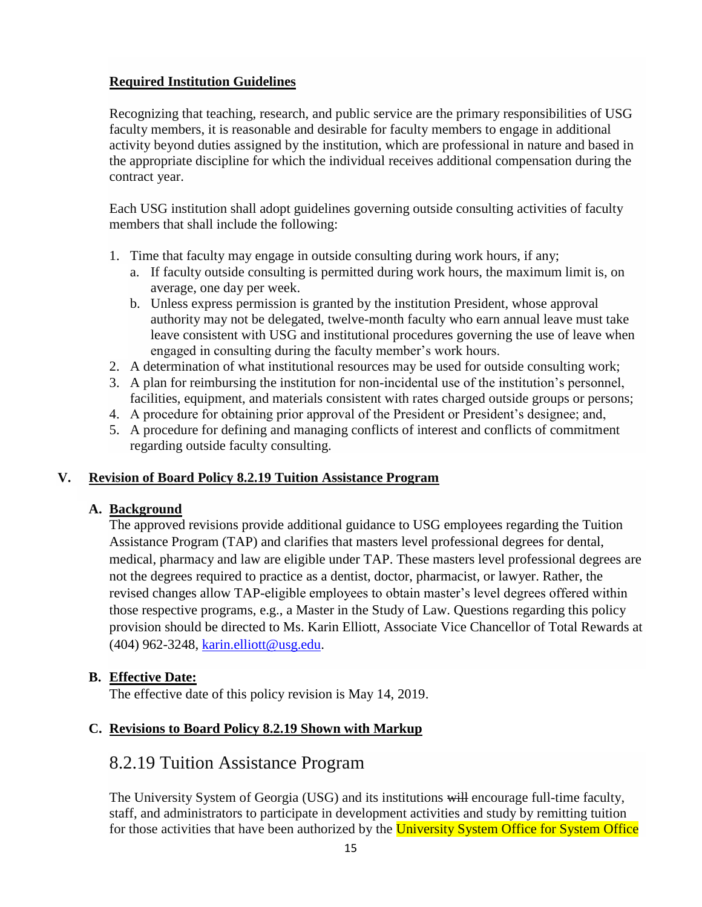# **Required Institution Guidelines**

Recognizing that teaching, research, and public service are the primary responsibilities of USG faculty members, it is reasonable and desirable for faculty members to engage in additional activity beyond duties assigned by the institution, which are professional in nature and based in the appropriate discipline for which the individual receives additional compensation during the contract year.

Each USG institution shall adopt guidelines governing outside consulting activities of faculty members that shall include the following:

- 1. Time that faculty may engage in outside consulting during work hours, if any;
	- a. If faculty outside consulting is permitted during work hours, the maximum limit is, on average, one day per week.
	- b. Unless express permission is granted by the institution President, whose approval authority may not be delegated, twelve-month faculty who earn annual leave must take leave consistent with USG and institutional procedures governing the use of leave when engaged in consulting during the faculty member's work hours.
- 2. A determination of what institutional resources may be used for outside consulting work;
- 3. A plan for reimbursing the institution for non-incidental use of the institution's personnel, facilities, equipment, and materials consistent with rates charged outside groups or persons;
- 4. A procedure for obtaining prior approval of the President or President's designee; and,
- 5. A procedure for defining and managing conflicts of interest and conflicts of commitment regarding outside faculty consulting.

# **V. Revision of Board Policy 8.2.19 Tuition Assistance Program**

# **A. Background**

The approved revisions provide additional guidance to USG employees regarding the Tuition Assistance Program (TAP) and clarifies that masters level professional degrees for dental, medical, pharmacy and law are eligible under TAP. These masters level professional degrees are not the degrees required to practice as a dentist, doctor, pharmacist, or lawyer. Rather, the revised changes allow TAP-eligible employees to obtain master's level degrees offered within those respective programs, e.g., a Master in the Study of Law. Questions regarding this policy provision should be directed to Ms. Karin Elliott, Associate Vice Chancellor of Total Rewards at (404) 962-3248, karin.elliott@usg.edu.

# **B. Effective Date:**

The effective date of this policy revision is May 14, 2019.

# **C. Revisions to Board Policy 8.2.19 Shown with Markup**

# 8.2.19 Tuition Assistance Program

The University System of Georgia (USG) and its institutions will encourage full-time faculty, staff, and administrators to participate in development activities and study by remitting tuition for those activities that have been authorized by the University System Office for System Office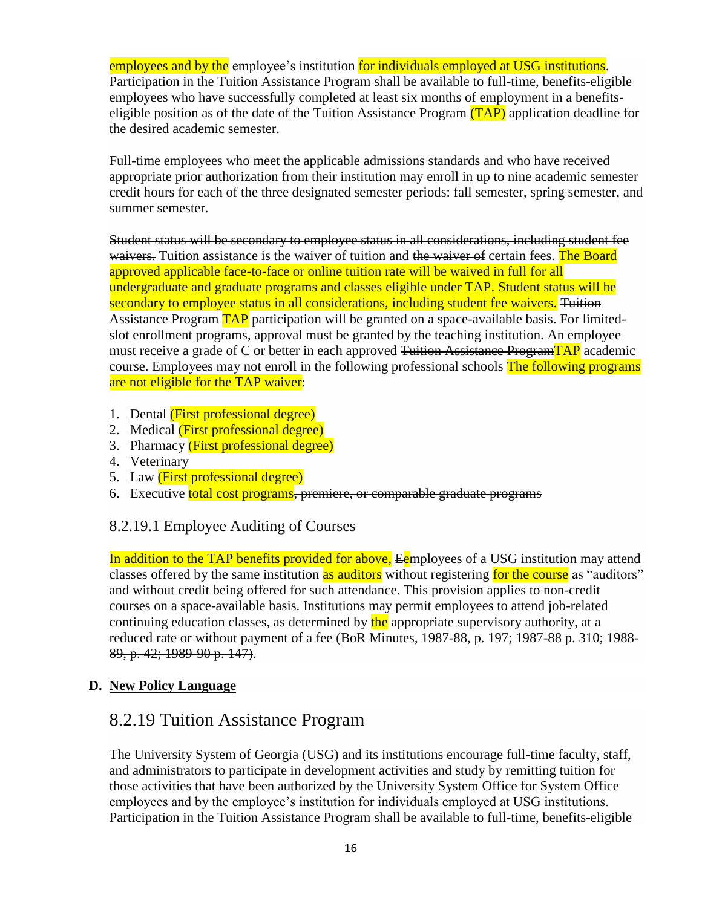employees and by the employee's institution for individuals employed at USG institutions. Participation in the Tuition Assistance Program shall be available to full-time, benefits-eligible employees who have successfully completed at least six months of employment in a benefitseligible position as of the date of the Tuition Assistance Program  $(TAP)$  application deadline for the desired academic semester.

Full-time employees who meet the applicable admissions standards and who have received appropriate prior authorization from their institution may enroll in up to nine academic semester credit hours for each of the three designated semester periods: fall semester, spring semester, and summer semester.

Student status will be secondary to employee status in all considerations, including student fee waivers. Tuition assistance is the waiver of tuition and the waiver of certain fees. The Board approved applicable face-to-face or online tuition rate will be waived in full for all undergraduate and graduate programs and classes eligible under TAP. Student status will be secondary to employee status in all considerations, including student fee waivers. Tuition Assistance Program TAP participation will be granted on a space-available basis. For limitedslot enrollment programs, approval must be granted by the teaching institution. An employee must receive a grade of C or better in each approved <del>Tuition Assistance Program TAP</del> academic course. Employees may not enroll in the following professional schools The following programs are not eligible for the TAP waiver:

- 1. Dental (First professional degree)
- 2. Medical (First professional degree)
- 3. Pharmacy (First professional degree)
- 4. Veterinary
- 5. Law (First professional degree)
- 6. Executive total cost programs, premiere, or comparable graduate programs

# 8.2.19.1 Employee Auditing of Courses

In addition to the TAP benefits provided for above, Eemployees of a USG institution may attend classes offered by the same institution as auditors without registering for the course as "auditors" and without credit being offered for such attendance. This provision applies to non-credit courses on a space-available basis. Institutions may permit employees to attend job-related continuing education classes, as determined by the appropriate supervisory authority, at a reduced rate or without payment of a fee (BoR Minutes, 1987-88, p. 197; 1987-88 p. 310; 1988-89, p. 42; 1989-90 p. 147).

# **D. New Policy Language**

# 8.2.19 Tuition Assistance Program

The University System of Georgia (USG) and its institutions encourage full-time faculty, staff, and administrators to participate in development activities and study by remitting tuition for those activities that have been authorized by the University System Office for System Office employees and by the employee's institution for individuals employed at USG institutions. Participation in the Tuition Assistance Program shall be available to full-time, benefits-eligible